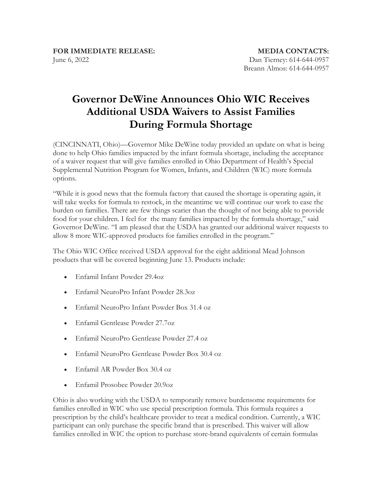## **Governor DeWine Announces Ohio WIC Receives Additional USDA Waivers to Assist Families During Formula Shortage**

(CINCINNATI, Ohio)—Governor Mike DeWine today provided an update on what is being done to help Ohio families impacted by the infant formula shortage, including the acceptance of a waiver request that will give families enrolled in Ohio Department of Health's Special Supplemental Nutrition Program for Women, Infants, and Children (WIC) more formula options.

"While it is good news that the formula factory that caused the shortage is operating again, it will take weeks for formula to restock, in the meantime we will continue our work to ease the burden on families. There are few things scarier than the thought of not being able to provide food for your children. I feel for the many families impacted by the formula shortage," said Governor DeWine. "I am pleased that the USDA has granted our additional waiver requests to allow 8 more WIC-approved products for families enrolled in the program."

The Ohio WIC Office received USDA approval for the eight additional Mead Johnson products that will be covered beginning June 13. Products include:

- Enfamil Infant Powder 29.4oz
- Enfamil NeuroPro Infant Powder 28.3oz
- Enfamil NeuroPro Infant Powder Box 31.4 oz
- Enfamil Gentlease Powder 27.7oz
- Enfamil NeuroPro Gentlease Powder 27.4 oz
- Enfamil NeuroPro Gentlease Powder Box 30.4 oz
- Enfamil AR Powder Box 30.4 oz
- Enfamil Prosobee Powder 20.9oz

Ohio is also working with the USDA to temporarily remove burdensome requirements for families enrolled in WIC who use special prescription formula. This formula requires a prescription by the child's healthcare provider to treat a medical condition. Currently, a WIC participant can only purchase the specific brand that is prescribed. This waiver will allow families enrolled in WIC the option to purchase store-brand equivalents of certain formulas